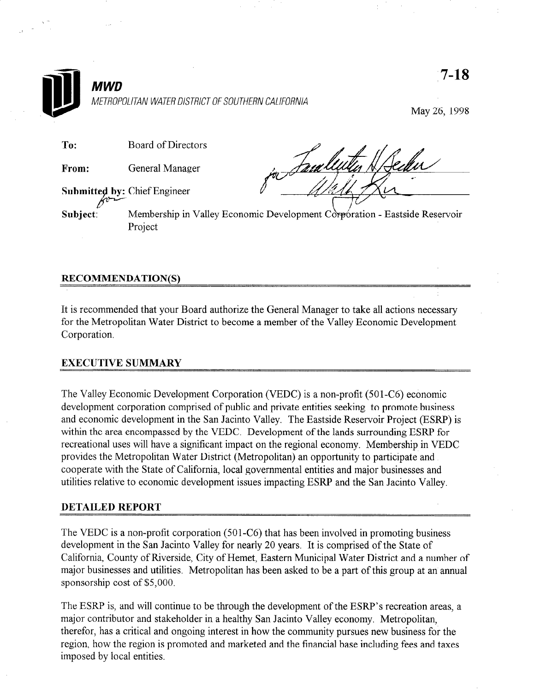

## RECOMMENDATION(S)

It is recommended that your Board authorize the General Manager to take all actions necessary for the Metropolitan Water District to become a member of the Valley Economic Development Corporation.

## EXECUTIVE SUMMARY

The Valley Economic Development Corporation (VEDC) is a non-profit (501-C6) economic development corporation comprised of public and private entities seeking to promote business and economic development in the San Jacinto Valley. The Eastside Reservoir Project (ESRP) is within the area encompassed by the VEDC. Development of the lands surrounding ESRP for recreational uses will have a significant impact on the regional economy. Membership in VEDC provides the Metropolitan Water District (Metropolitan) an opportunity to participate and cooperate with the State of California, local governmental entities and major businesses and utilities relative to economic development issues impacting ESRP and the San Jacinto Valley.

## DETAILED REPORT

The VEDC is a non-profit corporation (501-C6) that has been involved in promoting business development in the San Jacinto Valley for nearly 20 years. It is comprised of the State of California, County of Riverside, City of Hemet, Eastern Municipal Water District and a number of major businesses and utilities. Metropolitan has been asked to be a part of this group at an annual sponsorship cost of \$5,000.

The ESRP is, and will continue to be through the development of the ESRP's recreation areas, a major contributor and stakeholder in a healthy San Jacinto Valley economy. Metropolitan, therefor, has a critical and ongoing interest in how the community pursues new business for the region, how the region is promoted and marketed and the financial base including fees and taxes imposed by local entities.